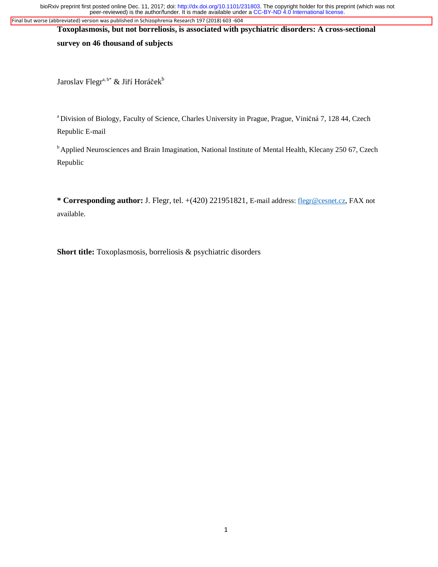peer-reviewed) is the author/funder. It is made available under a [CC-BY-ND 4.0 International license.](http://creativecommons.org/licenses/by-nd/4.0/) bioRxiv preprint first posted online Dec. 11, 2017; doi: [http://dx.doi.org/10.1101/231803.](http://dx.doi.org/10.1101/231803) The copyright holder for this preprint (which was not Final but worse (abbreviated) version was published in Schizophrenia Research 197 (2018) 603 -604

**Toxoplasmosis, but not borreliosis, is associated with psychiatric disorders: A cross-sectional** 

**survey on 46 thousand of subjects**

Jaroslav Flegr<sup>a, b\*</sup> & Jiří Horáček<sup>b</sup>

a Division of Biology, Faculty of Science, Charles University in Prague, Prague, Viničná 7, 128 44, Czech Republic E-mail

<sup>b</sup> Applied Neurosciences and Brain Imagination, National Institute of Mental Health, Klecany 250 67, Czech Republic

**\* Corresponding author:** J. Flegr, tel. +(420) 221951821, E-mail address: flegr@cesnet.cz, FAX not available.

**Short title:** Toxoplasmosis, borreliosis & psychiatric disorders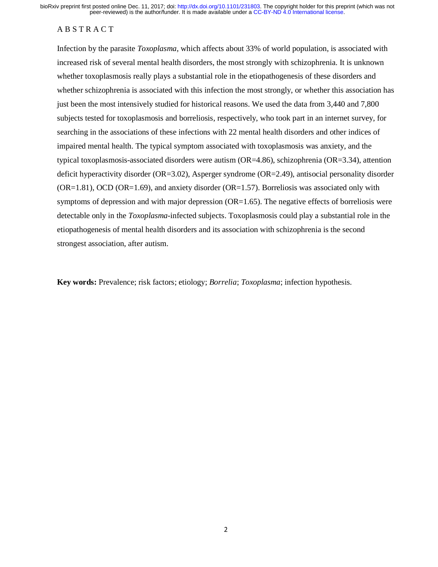# A B S T R A C T

Infection by the parasite *Toxoplasma*, which affects about 33% of world population, is associated with increased risk of several mental health disorders, the most strongly with schizophrenia. It is unknown whether toxoplasmosis really plays a substantial role in the etiopathogenesis of these disorders and whether schizophrenia is associated with this infection the most strongly, or whether this association has just been the most intensively studied for historical reasons. We used the data from 3,440 and 7,800 subjects tested for toxoplasmosis and borreliosis, respectively, who took part in an internet survey, for searching in the associations of these infections with 22 mental health disorders and other indices of impaired mental health. The typical symptom associated with toxoplasmosis was anxiety, and the typical toxoplasmosis-associated disorders were autism (OR=4.86), schizophrenia (OR=3.34), attention deficit hyperactivity disorder (OR=3.02), Asperger syndrome (OR=2.49), antisocial personality disorder (OR=1.81), OCD (OR=1.69), and anxiety disorder (OR=1.57). Borreliosis was associated only with symptoms of depression and with major depression (OR=1.65). The negative effects of borreliosis were detectable only in the *Toxoplasma*-infected subjects. Toxoplasmosis could play a substantial role in the etiopathogenesis of mental health disorders and its association with schizophrenia is the second strongest association, after autism.

**Key words:** Prevalence; risk factors; etiology; *Borrelia*; *Toxoplasma*; infection hypothesis.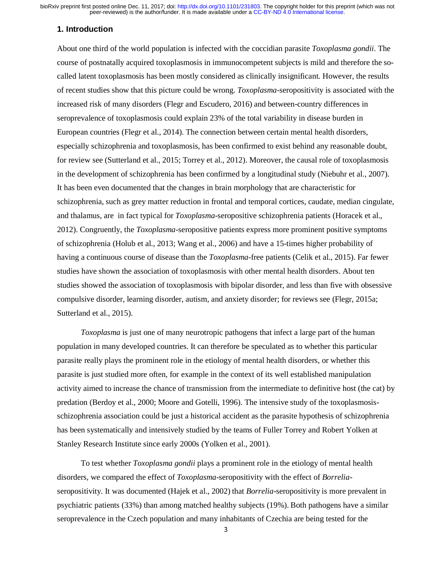### **1. Introduction**

About one third of the world population is infected with the coccidian parasite *Toxoplasma gondii*. The course of postnatally acquired toxoplasmosis in immunocompetent subjects is mild and therefore the socalled latent toxoplasmosis has been mostly considered as clinically insignificant. However, the results of recent studies show that this picture could be wrong. *Toxoplasma*-seropositivity is associated with the increased risk of many disorders (Flegr and Escudero, 2016) and between-country differences in seroprevalence of toxoplasmosis could explain 23% of the total variability in disease burden in European countries (Flegr et al., 2014). The connection between certain mental health disorders, especially schizophrenia and toxoplasmosis, has been confirmed to exist behind any reasonable doubt, for review see (Sutterland et al., 2015; Torrey et al., 2012). Moreover, the causal role of toxoplasmosis in the development of schizophrenia has been confirmed by a longitudinal study (Niebuhr et al., 2007). It has been even documented that the changes in brain morphology that are characteristic for schizophrenia, such as grey matter reduction in frontal and temporal cortices, caudate, median cingulate, and thalamus, are in fact typical for *Toxoplasma*-seropositive schizophrenia patients (Horacek et al., 2012). Congruently, the *Toxoplasma*-seropositive patients express more prominent positive symptoms of schizophrenia (Holub et al., 2013; Wang et al., 2006) and have a 15-times higher probability of having a continuous course of disease than the *Toxoplasma*-free patients (Celik et al., 2015). Far fewer studies have shown the association of toxoplasmosis with other mental health disorders. About ten studies showed the association of toxoplasmosis with bipolar disorder, and less than five with obsessive compulsive disorder, learning disorder, autism, and anxiety disorder; for reviews see (Flegr, 2015a; Sutterland et al., 2015).

*Toxoplasma* is just one of many neurotropic pathogens that infect a large part of the human population in many developed countries. It can therefore be speculated as to whether this particular parasite really plays the prominent role in the etiology of mental health disorders, or whether this parasite is just studied more often, for example in the context of its well established manipulation activity aimed to increase the chance of transmission from the intermediate to definitive host (the cat) by predation (Berdoy et al., 2000; Moore and Gotelli, 1996). The intensive study of the toxoplasmosisschizophrenia association could be just a historical accident as the parasite hypothesis of schizophrenia has been systematically and intensively studied by the teams of Fuller Torrey and Robert Yolken at Stanley Research Institute since early 2000s (Yolken et al., 2001).

To test whether *Toxoplasma gondii* plays a prominent role in the etiology of mental health disorders, we compared the effect of *Toxoplasma*-seropositivity with the effect of *Borrelia*seropositivity. It was documented (Hajek et al., 2002) that *Borrelia*-seropositivity is more prevalent in psychiatric patients (33%) than among matched healthy subjects (19%). Both pathogens have a similar seroprevalence in the Czech population and many inhabitants of Czechia are being tested for the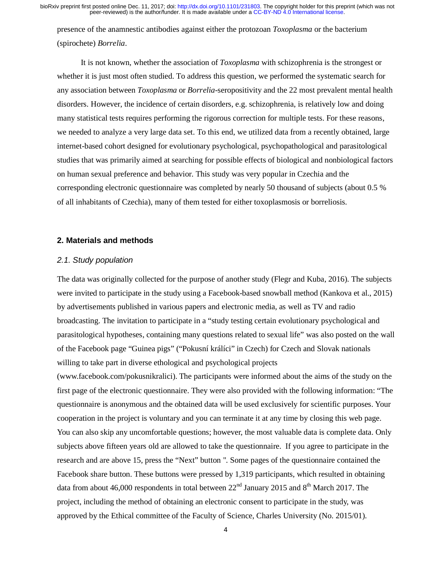presence of the anamnestic antibodies against either the protozoan *Toxoplasma* or the bacterium (spirochete) *Borrelia*.

It is not known, whether the association of *Toxoplasma* with schizophrenia is the strongest or whether it is just most often studied. To address this question, we performed the systematic search for any association between *Toxoplasma* or *Borrelia*-seropositivity and the 22 most prevalent mental health disorders. However, the incidence of certain disorders, e.g. schizophrenia, is relatively low and doing many statistical tests requires performing the rigorous correction for multiple tests. For these reasons, we needed to analyze a very large data set. To this end, we utilized data from a recently obtained, large internet-based cohort designed for evolutionary psychological, psychopathological and parasitological studies that was primarily aimed at searching for possible effects of biological and nonbiological factors on human sexual preference and behavior. This study was very popular in Czechia and the corresponding electronic questionnaire was completed by nearly 50 thousand of subjects (about 0.5 % of all inhabitants of Czechia), many of them tested for either toxoplasmosis or borreliosis.

### **2. Materials and methods**

## *2.1. Study population*

The data was originally collected for the purpose of another study (Flegr and Kuba, 2016). The subjects were invited to participate in the study using a Facebook-based snowball method (Kankova et al., 2015) by advertisements published in various papers and electronic media, as well as TV and radio broadcasting. The invitation to participate in a "study testing certain evolutionary psychological and parasitological hypotheses, containing many questions related to sexual life" was also posted on the wall of the Facebook page "Guinea pigs" ("Pokusní králíci" in Czech) for Czech and Slovak nationals willing to take part in diverse ethological and psychological projects

(www.facebook.com/pokusnikralici). The participants were informed about the aims of the study on the first page of the electronic questionnaire. They were also provided with the following information: "The questionnaire is anonymous and the obtained data will be used exclusively for scientific purposes. Your cooperation in the project is voluntary and you can terminate it at any time by closing this web page. You can also skip any uncomfortable questions; however, the most valuable data is complete data. Only subjects above fifteen years old are allowed to take the questionnaire. If you agree to participate in the research and are above 15, press the "Next" button ". Some pages of the questionnaire contained the Facebook share button. These buttons were pressed by 1,319 participants, which resulted in obtaining data from about 46,000 respondents in total between  $22<sup>nd</sup>$  January 2015 and  $8<sup>th</sup>$  March 2017. The project, including the method of obtaining an electronic consent to participate in the study, was approved by the Ethical committee of the Faculty of Science, Charles University (No. 2015/01).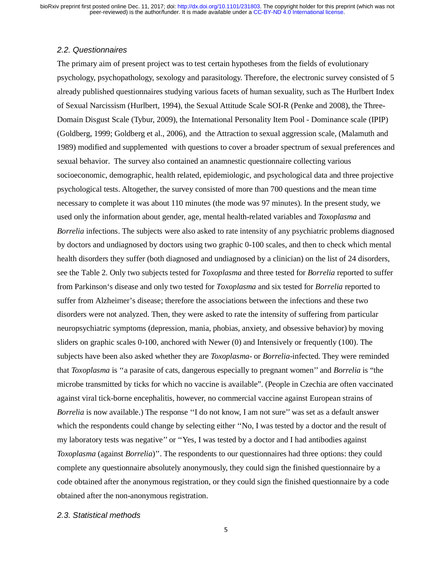## *2.2. Questionnaires*

The primary aim of present project was to test certain hypotheses from the fields of evolutionary psychology, psychopathology, sexology and parasitology. Therefore, the electronic survey consisted of 5 already published questionnaires studying various facets of human sexuality, such as The Hurlbert Index of Sexual Narcissism (Hurlbert, 1994), the Sexual Attitude Scale SOI-R (Penke and 2008), the Three-Domain Disgust Scale (Tybur, 2009), the International Personality Item Pool - Dominance scale (IPIP) (Goldberg, 1999; Goldberg et al., 2006), and the Attraction to sexual aggression scale, (Malamuth and 1989) modified and supplemented with questions to cover a broader spectrum of sexual preferences and sexual behavior. The survey also contained an anamnestic questionnaire collecting various socioeconomic, demographic, health related, epidemiologic, and psychological data and three projective psychological tests. Altogether, the survey consisted of more than 700 questions and the mean time necessary to complete it was about 110 minutes (the mode was 97 minutes). In the present study, we used only the information about gender, age, mental health-related variables and *Toxoplasma* and *Borrelia* infections. The subjects were also asked to rate intensity of any psychiatric problems diagnosed by doctors and undiagnosed by doctors using two graphic 0-100 scales, and then to check which mental health disorders they suffer (both diagnosed and undiagnosed by a clinician) on the list of 24 disorders, see the Table 2. Only two subjects tested for *Toxoplasma* and three tested for *Borrelia* reported to suffer from Parkinson's disease and only two tested for *Toxoplasma* and six tested for *Borrelia* reported to suffer from Alzheimer's disease; therefore the associations between the infections and these two disorders were not analyzed. Then, they were asked to rate the intensity of suffering from particular neuropsychiatric symptoms (depression, mania, phobias, anxiety, and obsessive behavior) by moving sliders on graphic scales 0-100, anchored with Newer (0) and Intensively or frequently (100). The subjects have been also asked whether they are *Toxoplasma*- or *Borrelia*-infected. They were reminded that *Toxoplasma* is ''a parasite of cats, dangerous especially to pregnant women'' and *Borrelia* is "the microbe transmitted by ticks for which no vaccine is available". (People in Czechia are often vaccinated against viral tick-borne encephalitis, however, no commercial vaccine against European strains of *Borrelia* is now available.) The response "I do not know, I am not sure" was set as a default answer which the respondents could change by selecting either "No, I was tested by a doctor and the result of my laboratory tests was negative'' or ''Yes, I was tested by a doctor and I had antibodies against *Toxoplasma* (against *Borrelia*)''. The respondents to our questionnaires had three options: they could complete any questionnaire absolutely anonymously, they could sign the finished questionnaire by a code obtained after the anonymous registration, or they could sign the finished questionnaire by a code obtained after the non-anonymous registration.

## *2.3. Statistical methods*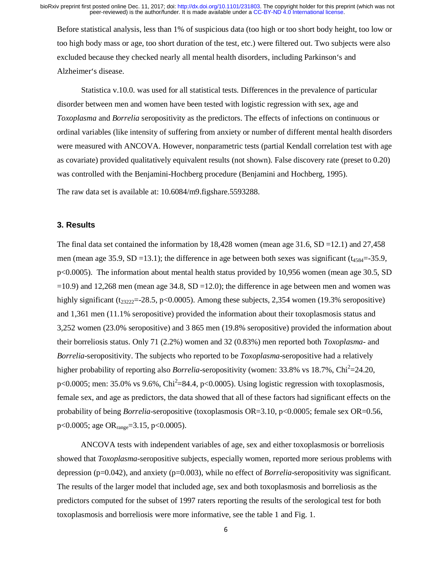Before statistical analysis, less than 1% of suspicious data (too high or too short body height, too low or too high body mass or age, too short duration of the test, etc.) were filtered out. Two subjects were also excluded because they checked nearly all mental health disorders, including Parkinson's and Alzheimer's disease.

Statistica v.10.0. was used for all statistical tests. Differences in the prevalence of particular disorder between men and women have been tested with logistic regression with sex, age and *Toxoplasma* and *Borrelia* seropositivity as the predictors. The effects of infections on continuous or ordinal variables (like intensity of suffering from anxiety or number of different mental health disorders were measured with ANCOVA. However, nonparametric tests (partial Kendall correlation test with age as covariate) provided qualitatively equivalent results (not shown). False discovery rate (preset to 0.20) was controlled with the Benjamini-Hochberg procedure (Benjamini and Hochberg, 1995).

The raw data set is available at: 10.6084/m9.figshare.5593288.

#### **3. Results**

The final data set contained the information by 18,428 women (mean age 31.6,  $SD = 12.1$ ) and 27,458 men (mean age 35.9, SD =13.1); the difference in age between both sexes was significant ( $t_{4584}$ =-35.9, p<0.0005). The information about mental health status provided by 10,956 women (mean age 30.5, SD  $=10.9$ ) and 12,268 men (mean age 34.8, SD  $=12.0$ ); the difference in age between men and women was highly significant ( $t_{23222}$ =-28.5, p<0.0005). Among these subjects, 2,354 women (19.3% seropositive) and 1,361 men (11.1% seropositive) provided the information about their toxoplasmosis status and 3,252 women (23.0% seropositive) and 3 865 men (19.8% seropositive) provided the information about their borreliosis status. Only 71 (2.2%) women and 32 (0.83%) men reported both *Toxoplasma*- and *Borrelia*-seropositivity. The subjects who reported to be *Toxoplasma*-seropositive had a relatively higher probability of reporting also *Borrelia*-seropositivity (women: 33.8% vs 18.7%, Chi<sup>2</sup>=24.20,  $p<0.0005$ ; men: 35.0% vs 9.6%, Chi<sup>2</sup>=84.4,  $p<0.0005$ ). Using logistic regression with toxoplasmosis, female sex, and age as predictors, the data showed that all of these factors had significant effects on the probability of being *Borrelia*-seropositive (toxoplasmosis OR=3.10, p<0.0005; female sex OR=0.56, p<0.0005; age OR $_{range}$ =3.15, p<0.0005).

ANCOVA tests with independent variables of age, sex and either toxoplasmosis or borreliosis showed that *Toxoplasma*-seropositive subjects, especially women, reported more serious problems with depression (p=0.042), and anxiety (p=0.003), while no effect of *Borrelia*-seropositivity was significant. The results of the larger model that included age, sex and both toxoplasmosis and borreliosis as the predictors computed for the subset of 1997 raters reporting the results of the serological test for both toxoplasmosis and borreliosis were more informative, see the table 1 and Fig. 1.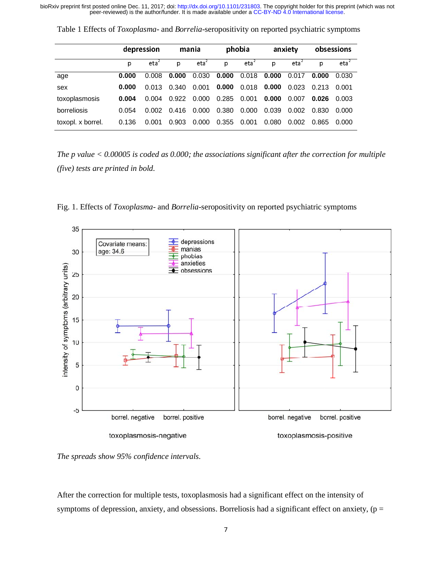|                   | depression |         | mania |         | phobia |         | anxiety |         | obsessions |         |
|-------------------|------------|---------|-------|---------|--------|---------|---------|---------|------------|---------|
|                   | р          | $eta^2$ | p     | $eta^2$ | p      | $eta^2$ | D.      | $eta^2$ | D          | $eta^2$ |
| age               | 0.000      | 0.008   | 0.000 | 0.030   | 0.000  | 0.018   | 0.000   | 0.017   | 0.000      | 0.030   |
| sex               | 0.000      | 0.013   | 0.340 | 0.001   | 0.000  | 0.018   | 0.000   | 0.023   | 0.213      | 0.001   |
| toxoplasmosis     | 0.004      | 0.004   | 0.922 | 0.000   | 0.285  | 0.001   | 0.000   | 0.007   | 0.026      | 0.003   |
| borreliosis       | 0.054      | 0.002   | 0.416 | 0.000   | 0.380  | 0.000   | 0.039   | 0.002   | 0.830      | 0.000   |
| toxopl. x borrel. | 0.136      | 0.001   | 0.903 | 0.000   | 0.355  | 0.001   | 0.080   | 0.002   | 0.865      | 0.000   |

Table 1 Effects of *Toxoplasma*- and *Borrelia*-seropositivity on reported psychiatric symptoms

*The p value < 0.00005 is coded as 0.000; the associations significant after the correction for multiple (five) tests are printed in bold.* 



Fig. 1. Effects of *Toxoplasma*- and *Borrelia*-seropositivity on reported psychiatric symptoms

*The spreads show 95% confidence intervals.* 

After the correction for multiple tests, toxoplasmosis had a significant effect on the intensity of symptoms of depression, anxiety, and obsessions. Borreliosis had a significant effect on anxiety,  $(p =$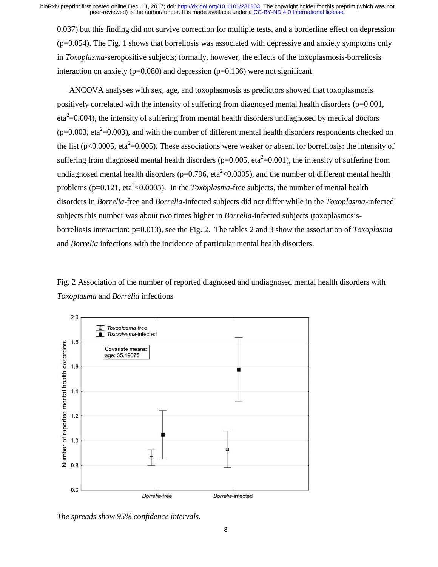0.037) but this finding did not survive correction for multiple tests, and a borderline effect on depression (p=0.054). The Fig. 1 shows that borreliosis was associated with depressive and anxiety symptoms only in *Toxoplasma*-seropositive subjects; formally, however, the effects of the toxoplasmosis-borreliosis interaction on anxiety ( $p=0.080$ ) and depression ( $p=0.136$ ) were not significant.

 ANCOVA analyses with sex, age, and toxoplasmosis as predictors showed that toxoplasmosis positively correlated with the intensity of suffering from diagnosed mental health disorders  $(p=0.001,$  $eta^2$ =0.004), the intensity of suffering from mental health disorders undiagnosed by medical doctors  $(p=0.003, eta<sup>2</sup>=0.003)$ , and with the number of different mental health disorders respondents checked on the list (p<0.0005, eta<sup>2</sup>=0.005). These associations were weaker or absent for borreliosis: the intensity of suffering from diagnosed mental health disorders ( $p=0.005$ , eta<sup>2</sup>=0.001), the intensity of suffering from undiagnosed mental health disorders (p=0.796, eta<sup>2</sup><0.0005), and the number of different mental health problems ( $p=0.121$ , eta<sup>2</sup><0.0005). In the *Toxoplasma*-free subjects, the number of mental health disorders in *Borrelia*-free and *Borrelia*-infected subjects did not differ while in the *Toxoplasma*-infected subjects this number was about two times higher in *Borrelia*-infected subjects (toxoplasmosisborreliosis interaction: p=0.013), see the Fig. 2. The tables 2 and 3 show the association of *Toxoplasma* and *Borrelia* infections with the incidence of particular mental health disorders.





*The spreads show 95% confidence intervals.*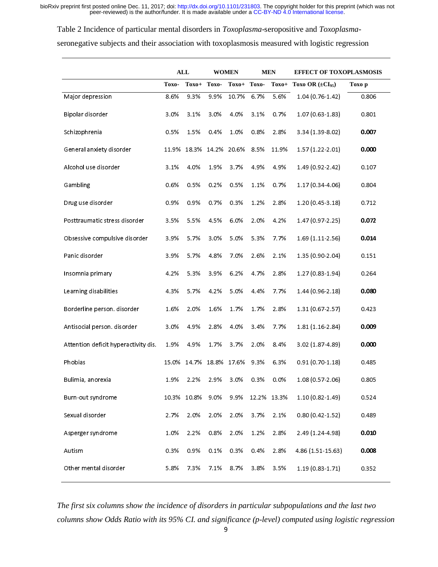Table 2 Incidence of particular mental disorders in *Toxoplasma*-seropositive and *Toxoplasma*seronegative subjects and their association with toxoplasmosis measured with logistic regression

|                                      | <b>ALL</b> |             | <b>WOMEN</b> |         | <b>MEN</b> |             | <b>EFFECT OF TOXOPLASMOSIS</b> |        |  |
|--------------------------------------|------------|-------------|--------------|---------|------------|-------------|--------------------------------|--------|--|
|                                      | Toxo-      | $Toxo+$     | Toxo-        | $Toxo+$ | Toxo-      | Toxo+       | Toxo OR $(\pm CI_{95})$        | Toxo p |  |
| Major depression                     | 8.6%       | 9.3%        | 9.9%         | 10.7%   | 6.7%       | 5.6%        | $1.04(0.76 - 1.42)$            | 0.806  |  |
| Bipolar disorder                     | 3.0%       | 3.1%        | 3.0%         | 4.0%    | 3.1%       | 0.7%        | 1.07 (0.63-1.83)               | 0.801  |  |
| Schizophrenia                        | 0.5%       | 1.5%        | 0.4%         | 1.0%    | 0.8%       | 2.8%        | 3.34 (1.39-8.02)               | 0.007  |  |
| General anxiety disorder             | 11.9%      | 18.3%       | 14.2%        | 20.6%   | 8.5%       | 11.9%       | 1.57(1.22.2.01)                | 0.000  |  |
| Alcohol use disorder                 | 3.1%       | 4.0%        | 1.9%         | 3.7%    | 4.9%       | 4.9%        | 1.49 (0.92-2.42)               | 0.107  |  |
| Gambling                             | 0.6%       | 0.5%        | 0.2%         | 0.5%    | 1.1%       | 0.7%        | 1.17 (0.34-4.06)               | 0.804  |  |
| Drug use disorder                    | 0.9%       | 0.9%        | 0.7%         | 0.3%    | 1.2%       | 2.8%        | $1.20(0.45 - 3.18)$            | 0.712  |  |
| Posttraumatic stress disorder        | 3.5%       | 5.5%        | 4.5%         | 6.0%    | 2.0%       | 4.2%        | $1.47(0.97 - 2.25)$            | 0.072  |  |
| Obsessive compulsive disorder        | 3.9%       | 5.7%        | 3.0%         | 5.0%    | 5.3%       | 7.7%        | 1.69 (1.11-2.56)               | 0.014  |  |
| Panic disorder                       | 3.9%       | 5.7%        | 4.8%         | 7.0%    | 2.6%       | 2.1%        | 1.35 (0.90-2.04)               | 0.151  |  |
| Insomnia primary                     | 4.2%       | 5.3%        | 3.9%         | 6.2%    | 4.7%       | 2.8%        | 1.27 (0.83-1.94)               | 0.264  |  |
| Learning disabilities                | 4.3%       | 5.7%        | 4.2%         | 5.0%    | 4.4%       | 7.7%        | $1.44(0.96 - 2.18)$            | 0.080  |  |
| Borderline person. disorder          | 1.6%       | 2.0%        | 1.6%         | 1.7%    | 1.7%       | 2.8%        | 1.31 (0.67-2.57)               | 0.423  |  |
| Antisocial person. disorder          | 3.0%       | 4.9%        | 2.8%         | 4.0%    | 3.4%       | 7.7%        | 1.81 (1.16-2.84)               | 0.009  |  |
| Attention deficit hyperactivity dis. | 1.9%       | 4.9%        | 1.7%         | 3.7%    | 2.0%       | 8.4%        | 3.02 (1.87-4.89)               | 0.000  |  |
| Phobias                              | 15.0%      | 14.7%       | 18.8%        | 17.6%   | 9.3%       | 6.3%        | $0.91(0.70 - 1.18)$            | 0.485  |  |
| Bulimia, anorexia                    | 1.9%       | 2.2%        | 2.9%         | 3.0%    | 0.3%       | 0.0%        | 1.08 (0.57-2.06)               | 0.805  |  |
| Burn-out syndrome                    |            | 10.3% 10.8% | 9.0%         | 9.9%    |            | 12.2% 13.3% | $1.10(0.82 - 1.49)$            | 0.524  |  |
| Sexual disorder                      | 2.7%       | 2.0%        | 2.0%         | 2.0%    | 3.7%       | 2.1%        | $0.80(0.42 - 1.52)$            | 0.489  |  |
| Asperger syndrome                    | 1.0%       | 2.2%        | 0.8%         | 2.0%    | 1.2%       | 2.8%        | 2.49 (1.24-4.98)               | 0.010  |  |
| Autism                               | 0.3%       | 0.9%        | 0.1%         | 0.3%    | 0.4%       | 2.8%        | 4.86 (1.51-15.63)              | 0.008  |  |
| Other mental disorder                | 5.8%       | 7.3%        | 7.1%         | 8.7%    | 3.8%       | 3.5%        | 1.19 (0.83-1.71)               | 0.352  |  |

*The first six columns show the incidence of disorders in particular subpopulations and the last two columns show Odds Ratio with its 95% CI. and significance (p-level) computed using logistic regression*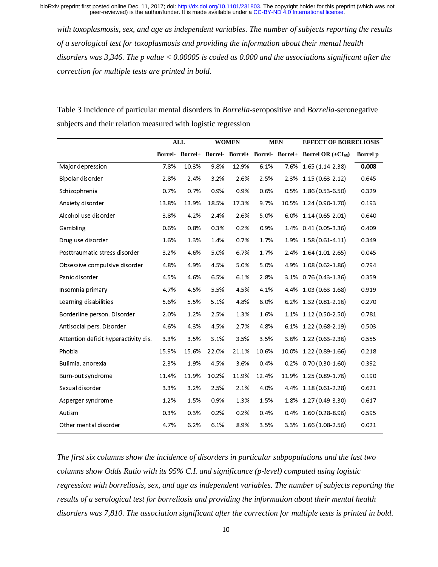*with toxoplasmosis, sex, and age as independent variables. The number of subjects reporting the results of a serological test for toxoplasmosis and providing the information about their mental health disorders was 3,346. The p value < 0.00005 is coded as 0.000 and the associations significant after the correction for multiple tests are printed in bold.* 

Table 3 Incidence of particular mental disorders in *Borrelia*-seropositive and *Borrelia*-seronegative subjects and their relation measured with logistic regression

|                                      | <b>ALL</b> |       | <b>WOMEN</b> |       | <b>MEN</b> |       | <b>EFFECT OF BORRELIOSIS</b>                                                   |          |
|--------------------------------------|------------|-------|--------------|-------|------------|-------|--------------------------------------------------------------------------------|----------|
|                                      |            |       |              |       |            |       | Borrel- Borrel+ Borrel- Borrel+ Borrel- Borrel+ Borrel OR (±CI <sub>95</sub> ) | Borrel p |
| Major depression                     | 7.8%       | 10.3% | 9.8%         | 12.9% | 6.1%       | 7.6%  | 1.65 (1.14-2.38)                                                               | 0.008    |
| Bipolar disorder                     | 2.8%       | 2.4%  | 3.2%         | 2.6%  | 2.5%       | 2.3%  | $1.15(0.63 - 2.12)$                                                            | 0.645    |
| Schizophrenia                        | 0.7%       | 0.7%  | 0.9%         | 0.9%  | 0.6%       | 0.5%  | 1.86 (0.53-6.50)                                                               | 0.329    |
| Anxiety disorder                     | 13.8%      | 13.9% | 18.5%        | 17.3% | 9.7%       | 10.5% | 1.24 (0.90-1.70)                                                               | 0.193    |
| Alcohol use disorder                 | 3.8%       | 4.2%  | 2.4%         | 2.6%  | 5.0%       | 6.0%  | $1.14(0.65 - 2.01)$                                                            | 0.640    |
| Gambling                             | 0.6%       | 0.8%  | 0.3%         | 0.2%  | 0.9%       | 1.4%  | $0.41(0.05 - 3.36)$                                                            | 0.409    |
| Drug use disorder                    | 1.6%       | 1.3%  | 1.4%         | 0.7%  | 1.7%       | 1.9%  | 1.58 (0.61-4.11)                                                               | 0.349    |
| Posttraumatic stress disorder        | 3.2%       | 4.6%  | 5.0%         | 6.7%  | 1.7%       | 2.4%  | 1.64 (1.01 2.65)                                                               | 0.045    |
| Obsessive compulsive disorder        | 4.8%       | 4.9%  | 4.5%         | 5.0%  | 5.0%       | 4.9%  | 1.08 (0.62-1.86)                                                               | 0.794    |
| Panic disorder                       | 4.5%       | 4.6%  | 6.5%         | 6.1%  | 2.8%       | 3.1%  | $0.76(0.43 - 1.36)$                                                            | 0.359    |
| Insomnia primary                     | 4.7%       | 4.5%  | 5.5%         | 4.5%  | 4.1%       | 4.4%  | $1.03(0.63 - 1.68)$                                                            | 0.919    |
| Learning disabilities                | 5.6%       | 5.5%  | 5.1%         | 4.8%  | 6.0%       | 6.2%  | 1.32 (0.81-2.16)                                                               | 0.270    |
| Borderline person. Disorder          | 2.0%       | 1.2%  | 2.5%         | 1.3%  | 1.6%       | 1.1%  | 1.12 (0.50-2.50)                                                               | 0.781    |
| Antisocial pers. Disorder            | 4.6%       | 4.3%  | 4.5%         | 2.7%  | 4.8%       | 6.1%  | 1.22 (0.68-2.19)                                                               | 0.503    |
| Attention deficit hyperactivity dis. | 3.3%       | 3.5%  | 3.1%         | 3.5%  | 3.5%       | 3.6%  | 1.22 (0.63 - 2.36)                                                             | 0.555    |
| Phobia                               | 15.9%      | 15.6% | 22.0%        | 21.1% | 10.6%      | 10.0% | 1.22 (0.89-1.66)                                                               | 0.218    |
| Bulimia, anorexia                    | 2.3%       | 1.9%  | 4.5%         | 3.6%  | 0.4%       | 0.2%  | $0.70(0.30 - 1.60)$                                                            | 0.392    |
| Burn-out syndrome                    | 11.4%      | 11.9% | 10.2%        | 11.9% | 12.4%      | 11.9% | $1.25(0.89 - 1.76)$                                                            | 0.190    |
| Sexual disorder                      | 3.3%       | 3.2%  | 2.5%         | 2.1%  | 4.0%       | 4.4%  | $1.18(0.61 - 2.28)$                                                            | 0.621    |
| Asperger syndrome                    | 1.2%       | 1.5%  | 0.9%         | 1.3%  | 1.5%       | 1.8%  | 1.27 (0.49-3.30)                                                               | 0.617    |
| Autism                               | 0.3%       | 0.3%  | 0.2%         | 0.2%  | 0.4%       | 0.4%  | 1.60 (0.28-8.96)                                                               | 0.595    |
| Other mental disorder                | 4.7%       | 6.2%  | 6.1%         | 8.9%  | 3.5%       | 3.3%  | 1.66 (1.08-2.56)                                                               | 0.021    |

*The first six columns show the incidence of disorders in particular subpopulations and the last two columns show Odds Ratio with its 95% C.I. and significance (p-level) computed using logistic regression with borreliosis, sex, and age as independent variables. The number of subjects reporting the results of a serological test for borreliosis and providing the information about their mental health disorders was 7,810. The association significant after the correction for multiple tests is printed in bold.*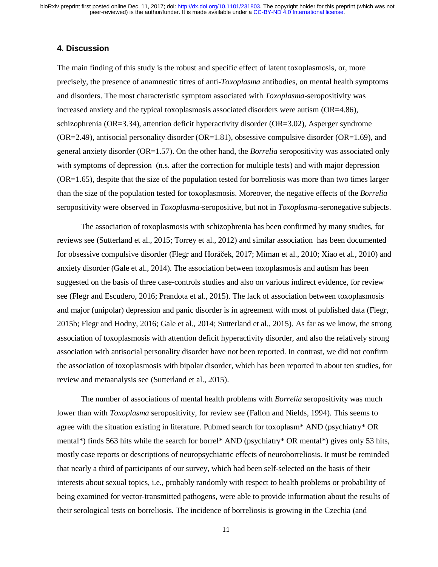## **4. Discussion**

The main finding of this study is the robust and specific effect of latent toxoplasmosis, or, more precisely, the presence of anamnestic titres of anti-*Toxoplasma* antibodies, on mental health symptoms and disorders. The most characteristic symptom associated with *Toxoplasma*-seropositivity was increased anxiety and the typical toxoplasmosis associated disorders were autism (OR=4.86), schizophrenia (OR=3.34), attention deficit hyperactivity disorder (OR=3.02), Asperger syndrome  $(OR=2.49)$ , antisocial personality disorder  $(OR=1.81)$ , obsessive compulsive disorder  $(OR=1.69)$ , and general anxiety disorder (OR=1.57). On the other hand, the *Borrelia* seropositivity was associated only with symptoms of depression (n.s. after the correction for multiple tests) and with major depression (OR=1.65), despite that the size of the population tested for borreliosis was more than two times larger than the size of the population tested for toxoplasmosis. Moreover, the negative effects of the *Borrelia* seropositivity were observed in *Toxoplasma*-seropositive, but not in *Toxoplasma*-seronegative subjects.

The association of toxoplasmosis with schizophrenia has been confirmed by many studies, for reviews see (Sutterland et al., 2015; Torrey et al., 2012) and similar association has been documented for obsessive compulsive disorder (Flegr and Horáček, 2017; Miman et al., 2010; Xiao et al., 2010) and anxiety disorder (Gale et al., 2014). The association between toxoplasmosis and autism has been suggested on the basis of three case-controls studies and also on various indirect evidence, for review see (Flegr and Escudero, 2016; Prandota et al., 2015). The lack of association between toxoplasmosis and major (unipolar) depression and panic disorder is in agreement with most of published data (Flegr, 2015b; Flegr and Hodny, 2016; Gale et al., 2014; Sutterland et al., 2015). As far as we know, the strong association of toxoplasmosis with attention deficit hyperactivity disorder, and also the relatively strong association with antisocial personality disorder have not been reported. In contrast, we did not confirm the association of toxoplasmosis with bipolar disorder, which has been reported in about ten studies, for review and metaanalysis see (Sutterland et al., 2015).

The number of associations of mental health problems with *Borrelia* seropositivity was much lower than with *Toxoplasma* seropositivity, for review see (Fallon and Nields, 1994). This seems to agree with the situation existing in literature. Pubmed search for toxoplasm\* AND (psychiatry\* OR mental\*) finds 563 hits while the search for borrel\* AND (psychiatry\* OR mental\*) gives only 53 hits, mostly case reports or descriptions of neuropsychiatric effects of neuroborreliosis. It must be reminded that nearly a third of participants of our survey, which had been self-selected on the basis of their interests about sexual topics, i.e., probably randomly with respect to health problems or probability of being examined for vector-transmitted pathogens, were able to provide information about the results of their serological tests on borreliosis. The incidence of borreliosis is growing in the Czechia (and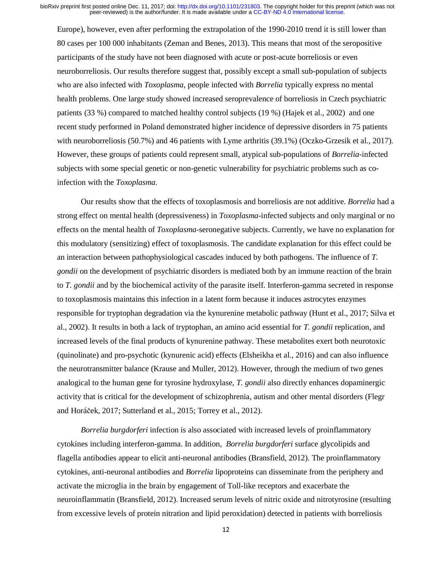Europe), however, even after performing the extrapolation of the 1990-2010 trend it is still lower than 80 cases per 100 000 inhabitants (Zeman and Benes, 2013). This means that most of the seropositive participants of the study have not been diagnosed with acute or post-acute borreliosis or even neuroborreliosis. Our results therefore suggest that, possibly except a small sub-population of subjects who are also infected with *Toxoplasma*, people infected with *Borrelia* typically express no mental health problems. One large study showed increased seroprevalence of borreliosis in Czech psychiatric patients (33 %) compared to matched healthy control subjects (19 %) (Hajek et al., 2002) and one recent study performed in Poland demonstrated higher incidence of depressive disorders in 75 patients with neuroborreliosis (50.7%) and 46 patients with Lyme arthritis (39.1%) (Oczko-Grzesik et al., 2017). However, these groups of patients could represent small, atypical sub-populations of *Borrelia*-infected subjects with some special genetic or non-genetic vulnerability for psychiatric problems such as coinfection with the *Toxoplasma*.

Our results show that the effects of toxoplasmosis and borreliosis are not additive. *Borrelia* had a strong effect on mental health (depressiveness) in *Toxoplasma*-infected subjects and only marginal or no effects on the mental health of *Toxoplasma*-seronegative subjects. Currently, we have no explanation for this modulatory (sensitizing) effect of toxoplasmosis. The candidate explanation for this effect could be an interaction between pathophysiological cascades induced by both pathogens. The influence of *T. gondii* on the development of psychiatric disorders is mediated both by an immune reaction of the brain to *T. gondii* and by the biochemical activity of the parasite itself. Interferon-gamma secreted in response to toxoplasmosis maintains this infection in a latent form because it induces astrocytes enzymes responsible for tryptophan degradation via the kynurenine metabolic pathway (Hunt et al., 2017; Silva et al., 2002). It results in both a lack of tryptophan, an amino acid essential for *T. gondii* replication, and increased levels of the final products of kynurenine pathway. These metabolites exert both neurotoxic (quinolinate) and pro-psychotic (kynurenic acid) effects (Elsheikha et al., 2016) and can also influence the neurotransmitter balance (Krause and Muller, 2012). However, through the medium of two genes analogical to the human gene for tyrosine hydroxylase, *T. gondii* also directly enhances dopaminergic activity that is critical for the development of schizophrenia, autism and other mental disorders (Flegr and Horáček, 2017; Sutterland et al., 2015; Torrey et al., 2012).

*Borrelia burgdorferi* infection is also associated with increased levels of proinflammatory cytokines including interferon-gamma. In addition, *Borrelia burgdorferi* surface glycolipids and flagella antibodies appear to elicit anti-neuronal antibodies (Bransfield, 2012). The proinflammatory cytokines, anti-neuronal antibodies and *Borrelia* lipoproteins can disseminate from the periphery and activate the microglia in the brain by engagement of Toll-like receptors and exacerbate the neuroinflammatin (Bransfield, 2012). Increased serum levels of nitric oxide and nitrotyrosine (resulting from excessive levels of protein nitration and lipid peroxidation) detected in patients with borreliosis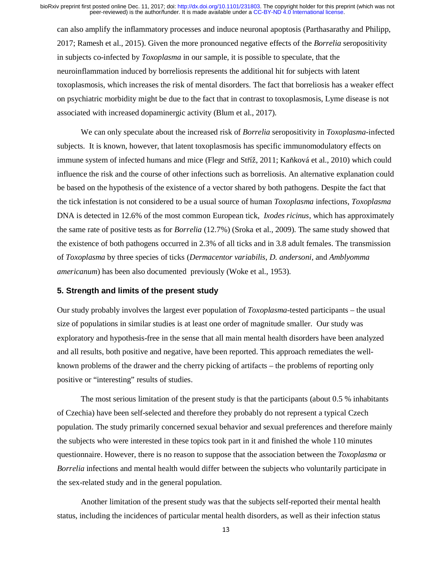can also amplify the inflammatory processes and induce neuronal apoptosis (Parthasarathy and Philipp, 2017; Ramesh et al., 2015). Given the more pronounced negative effects of the *Borrelia* seropositivity in subjects co-infected by *Toxoplasma* in our sample, it is possible to speculate, that the neuroinflammation induced by borreliosis represents the additional hit for subjects with latent toxoplasmosis, which increases the risk of mental disorders. The fact that borreliosis has a weaker effect on psychiatric morbidity might be due to the fact that in contrast to toxoplasmosis, Lyme disease is not associated with increased dopaminergic activity (Blum et al., 2017).

We can only speculate about the increased risk of *Borrelia* seropositivity in *Toxoplasma*-infected subjects. It is known, however, that latent toxoplasmosis has specific immunomodulatory effects on immune system of infected humans and mice (Flegr and Stříž, 2011; Kaňková et al., 2010) which could influence the risk and the course of other infections such as borreliosis. An alternative explanation could be based on the hypothesis of the existence of a vector shared by both pathogens. Despite the fact that the tick infestation is not considered to be a usual source of human *Toxoplasma* infections, *Toxoplasma* DNA is detected in 12.6% of the most common European tick, *Ixodes ricinus*, which has approximately the same rate of positive tests as for *Borrelia* (12.7%) (Sroka et al., 2009). The same study showed that the existence of both pathogens occurred in 2.3% of all ticks and in 3.8 adult females. The transmission of *Toxoplasma* by three species of ticks (*Dermacentor variabilis*, *D. andersoni*, and *Amblyomma americanum*) has been also documented previously (Woke et al., 1953).

## **5. Strength and limits of the present study**

Our study probably involves the largest ever population of *Toxoplasma*-tested participants – the usual size of populations in similar studies is at least one order of magnitude smaller. Our study was exploratory and hypothesis-free in the sense that all main mental health disorders have been analyzed and all results, both positive and negative, have been reported. This approach remediates the wellknown problems of the drawer and the cherry picking of artifacts – the problems of reporting only positive or "interesting" results of studies.

The most serious limitation of the present study is that the participants (about 0.5 % inhabitants of Czechia) have been self-selected and therefore they probably do not represent a typical Czech population. The study primarily concerned sexual behavior and sexual preferences and therefore mainly the subjects who were interested in these topics took part in it and finished the whole 110 minutes questionnaire. However, there is no reason to suppose that the association between the *Toxoplasma* or *Borrelia* infections and mental health would differ between the subjects who voluntarily participate in the sex-related study and in the general population.

Another limitation of the present study was that the subjects self-reported their mental health status, including the incidences of particular mental health disorders, as well as their infection status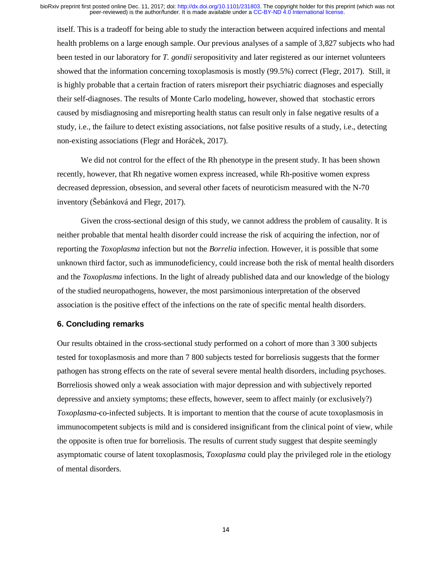itself. This is a tradeoff for being able to study the interaction between acquired infections and mental health problems on a large enough sample. Our previous analyses of a sample of 3,827 subjects who had been tested in our laboratory for *T. gondii* seropositivity and later registered as our internet volunteers showed that the information concerning toxoplasmosis is mostly (99.5%) correct (Flegr, 2017). Still, it is highly probable that a certain fraction of raters misreport their psychiatric diagnoses and especially their self-diagnoses. The results of Monte Carlo modeling, however, showed that stochastic errors caused by misdiagnosing and misreporting health status can result only in false negative results of a study, i.e., the failure to detect existing associations, not false positive results of a study, i.e., detecting non-existing associations (Flegr and Horáček, 2017).

We did not control for the effect of the Rh phenotype in the present study. It has been shown recently, however, that Rh negative women express increased, while Rh-positive women express decreased depression, obsession, and several other facets of neuroticism measured with the N-70 inventory (Šebánková and Flegr, 2017).

Given the cross-sectional design of this study, we cannot address the problem of causality. It is neither probable that mental health disorder could increase the risk of acquiring the infection, nor of reporting the *Toxoplasma* infection but not the *Borrelia* infection. However, it is possible that some unknown third factor, such as immunodeficiency, could increase both the risk of mental health disorders and the *Toxoplasma* infections. In the light of already published data and our knowledge of the biology of the studied neuropathogens, however, the most parsimonious interpretation of the observed association is the positive effect of the infections on the rate of specific mental health disorders.

## **6. Concluding remarks**

Our results obtained in the cross-sectional study performed on a cohort of more than 3 300 subjects tested for toxoplasmosis and more than 7 800 subjects tested for borreliosis suggests that the former pathogen has strong effects on the rate of several severe mental health disorders, including psychoses. Borreliosis showed only a weak association with major depression and with subjectively reported depressive and anxiety symptoms; these effects, however, seem to affect mainly (or exclusively?) *Toxoplasma*-co-infected subjects. It is important to mention that the course of acute toxoplasmosis in immunocompetent subjects is mild and is considered insignificant from the clinical point of view, while the opposite is often true for borreliosis. The results of current study suggest that despite seemingly asymptomatic course of latent toxoplasmosis, *Toxoplasma* could play the privileged role in the etiology of mental disorders.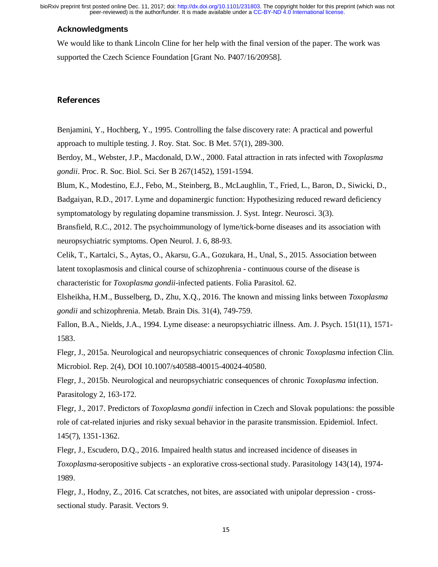peer-reviewed) is the author/funder. It is made available under a [CC-BY-ND 4.0 International license.](http://creativecommons.org/licenses/by-nd/4.0/) bioRxiv preprint first posted online Dec. 11, 2017; doi: [http://dx.doi.org/10.1101/231803.](http://dx.doi.org/10.1101/231803) The copyright holder for this preprint (which was not

### **Acknowledgments**

We would like to thank Lincoln Cline for her help with the final version of the paper. The work was supported the Czech Science Foundation [Grant No. P407/16/20958].

Benjamini, Y., Hochberg, Y., 1995. Controlling the false discovery rate: A practical and powerful approach to multiple testing. J. Roy. Stat. Soc. B Met. 57(1), 289-300.

Berdoy, M., Webster, J.P., Macdonald, D.W., 2000. Fatal attraction in rats infected with *Toxoplasma gondii*. Proc. R. Soc. Biol. Sci. Ser B 267(1452), 1591-1594.

Blum, K., Modestino, E.J., Febo, M., Steinberg, B., McLaughlin, T., Fried, L., Baron, D., Siwicki, D.,

Badgaiyan, R.D., 2017. Lyme and dopaminergic function: Hypothesizing reduced reward deficiency symptomatology by regulating dopamine transmission. J. Syst. Integr. Neurosci. 3(3).

Bransfield, R.C., 2012. The psychoimmunology of lyme/tick-borne diseases and its association with neuropsychiatric symptoms. Open Neurol. J. 6, 88-93.

Celik, T., Kartalci, S., Aytas, O., Akarsu, G.A., Gozukara, H., Unal, S., 2015. Association between latent toxoplasmosis and clinical course of schizophrenia - continuous course of the disease is characteristic for *Toxoplasma gondii*-infected patients. Folia Parasitol. 62.

Elsheikha, H.M., Busselberg, D., Zhu, X.Q., 2016. The known and missing links between *Toxoplasma gondii* and schizophrenia. Metab. Brain Dis. 31(4), 749-759.

Fallon, B.A., Nields, J.A., 1994. Lyme disease: a neuropsychiatric illness. Am. J. Psych. 151(11), 1571- 1583.

Flegr, J., 2015a. Neurological and neuropsychiatric consequences of chronic *Toxoplasma* infection Clin. Microbiol. Rep. 2(4), DOI 10.1007/s40588-40015-40024-40580.

Flegr, J., 2015b. Neurological and neuropsychiatric consequences of chronic *Toxoplasma* infection. Parasitology 2, 163-172.

Flegr, J., 2017. Predictors of *Toxoplasma gondii* infection in Czech and Slovak populations: the possible role of cat-related injuries and risky sexual behavior in the parasite transmission. Epidemiol. Infect. 145(7), 1351-1362.

Flegr, J., Escudero, D.Q., 2016. Impaired health status and increased incidence of diseases in *Toxoplasma*-seropositive subjects - an explorative cross-sectional study. Parasitology 143(14), 1974- 1989.

Flegr, J., Hodny, Z., 2016. Cat scratches, not bites, are associated with unipolar depression - crosssectional study. Parasit. Vectors 9.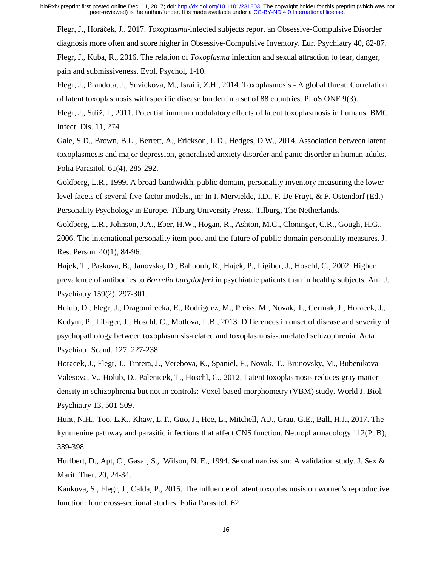Flegr, J., Horáček, J., 2017. *Toxoplasma*-infected subjects report an Obsessive-Compulsive Disorder diagnosis more often and score higher in Obsessive-Compulsive Inventory. Eur. Psychiatry 40, 82-87. Flegr, J., Kuba, R., 2016. The relation of *Toxoplasma* infection and sexual attraction to fear, danger, pain and submissiveness. Evol. Psychol, 1-10.

Flegr, J., Prandota, J., Sovickova, M., Israili, Z.H., 2014. Toxoplasmosis - A global threat. Correlation of latent toxoplasmosis with specific disease burden in a set of 88 countries. PLoS ONE 9(3).

Flegr, J., Stříž, I., 2011. Potential immunomodulatory effects of latent toxoplasmosis in humans. BMC Infect. Dis. 11, 274.

Gale, S.D., Brown, B.L., Berrett, A., Erickson, L.D., Hedges, D.W., 2014. Association between latent toxoplasmosis and major depression, generalised anxiety disorder and panic disorder in human adults. Folia Parasitol. 61(4), 285-292.

Goldberg, L.R., 1999. A broad-bandwidth, public domain, personality inventory measuring the lowerlevel facets of several five-factor models., in: In I. Mervielde, I.D., F. De Fruyt, & F. Ostendorf (Ed.) Personality Psychology in Europe. Tilburg University Press., Tilburg, The Netherlands.

Goldberg, L.R., Johnson, J.A., Eber, H.W., Hogan, R., Ashton, M.C., Cloninger, C.R., Gough, H.G., 2006. The international personality item pool and the future of public-domain personality measures. J. Res. Person. 40(1), 84-96.

Hajek, T., Paskova, B., Janovska, D., Bahbouh, R., Hajek, P., Ligiber, J., Hoschl, C., 2002. Higher prevalence of antibodies to *Borrelia burgdorferi* in psychiatric patients than in healthy subjects. Am. J. Psychiatry 159(2), 297-301.

Holub, D., Flegr, J., Dragomirecka, E., Rodriguez, M., Preiss, M., Novak, T., Cermak, J., Horacek, J., Kodym, P., Libiger, J., Hoschl, C., Motlova, L.B., 2013. Differences in onset of disease and severity of psychopathology between toxoplasmosis-related and toxoplasmosis-unrelated schizophrenia. Acta Psychiatr. Scand. 127, 227-238.

Horacek, J., Flegr, J., Tintera, J., Verebova, K., Spaniel, F., Novak, T., Brunovsky, M., Bubenikova-Valesova, V., Holub, D., Palenicek, T., Hoschl, C., 2012. Latent toxoplasmosis reduces gray matter density in schizophrenia but not in controls: Voxel-based-morphometry (VBM) study. World J. Biol. Psychiatry 13, 501-509.

Hunt, N.H., Too, L.K., Khaw, L.T., Guo, J., Hee, L., Mitchell, A.J., Grau, G.E., Ball, H.J., 2017. The kynurenine pathway and parasitic infections that affect CNS function. Neuropharmacology 112(Pt B), 389-398.

Hurlbert, D., Apt, C., Gasar, S., Wilson, N. E., 1994. Sexual narcissism: A validation study. J. Sex & Marit. Ther. 20, 24-34.

Kankova, S., Flegr, J., Calda, P., 2015. The influence of latent toxoplasmosis on women's reproductive function: four cross-sectional studies. Folia Parasitol. 62.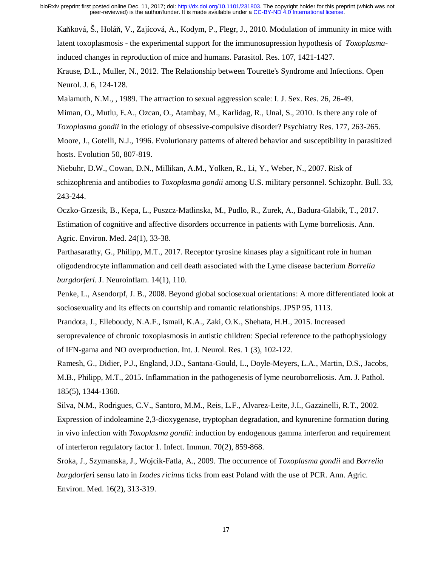Kaňková, Š., Holáň, V., Zajícová, A., Kodym, P., Flegr, J., 2010. Modulation of immunity in mice with latent toxoplasmosis - the experimental support for the immunosupression hypothesis of *Toxoplasma*induced changes in reproduction of mice and humans. Parasitol. Res. 107, 1421-1427.

Krause, D.L., Muller, N., 2012. The Relationship between Tourette's Syndrome and Infections. Open Neurol. J. 6, 124-128.

Malamuth, N.M., , 1989. The attraction to sexual aggression scale: I. J. Sex. Res. 26, 26-49.

Miman, O., Mutlu, E.A., Ozcan, O., Atambay, M., Karlidag, R., Unal, S., 2010. Is there any role of *Toxoplasma gondii* in the etiology of obsessive-compulsive disorder? Psychiatry Res. 177, 263-265.

Moore, J., Gotelli, N.J., 1996. Evolutionary patterns of altered behavior and susceptibility in parasitized hosts. Evolution 50, 807-819.

Niebuhr, D.W., Cowan, D.N., Millikan, A.M., Yolken, R., Li, Y., Weber, N., 2007. Risk of schizophrenia and antibodies to *Toxoplasma gondii* among U.S. military personnel. Schizophr. Bull. 33, 243-244.

Oczko-Grzesik, B., Kepa, L., Puszcz-Matlinska, M., Pudlo, R., Zurek, A., Badura-Glabik, T., 2017. Estimation of cognitive and affective disorders occurrence in patients with Lyme borreliosis. Ann. Agric. Environ. Med. 24(1), 33-38.

Parthasarathy, G., Philipp, M.T., 2017. Receptor tyrosine kinases play a significant role in human oligodendrocyte inflammation and cell death associated with the Lyme disease bacterium *Borrelia burgdorferi*. J. Neuroinflam. 14(1), 110.

Penke, L., Asendorpf, J. B., 2008. Beyond global sociosexual orientations: A more differentiated look at sociosexuality and its effects on courtship and romantic relationships. JPSP 95, 1113.

Prandota, J., Elleboudy, N.A.F., Ismail, K.A., Zaki, O.K., Shehata, H.H., 2015. Increased seroprevalence of chronic toxoplasmosis in autistic children: Special reference to the pathophysiology of IFN-gama and NO overproduction. Int. J. Neurol. Res. 1 (3), 102-122.

Ramesh, G., Didier, P.J., England, J.D., Santana-Gould, L., Doyle-Meyers, L.A., Martin, D.S., Jacobs, M.B., Philipp, M.T., 2015. Inflammation in the pathogenesis of lyme neuroborreliosis. Am. J. Pathol. 185(5), 1344-1360.

Silva, N.M., Rodrigues, C.V., Santoro, M.M., Reis, L.F., Alvarez-Leite, J.I., Gazzinelli, R.T., 2002. Expression of indoleamine 2,3-dioxygenase, tryptophan degradation, and kynurenine formation during in vivo infection with *Toxoplasma gondii*: induction by endogenous gamma interferon and requirement of interferon regulatory factor 1. Infect. Immun. 70(2), 859-868.

Sroka, J., Szymanska, J., Wojcik-Fatla, A., 2009. The occurrence of *Toxoplasma gondii* and *Borrelia burgdorfer*i sensu lato in *Ixodes ricinus* ticks from east Poland with the use of PCR. Ann. Agric. Environ. Med. 16(2), 313-319.